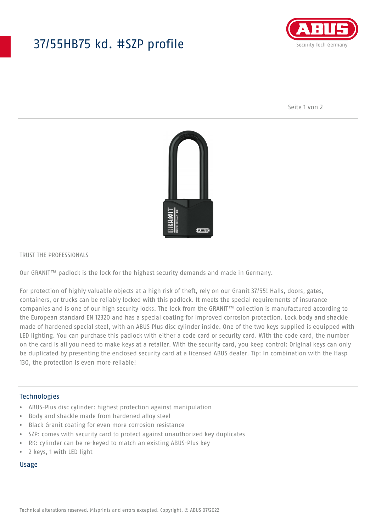## 37/55HB75 kd. #SZP profile



Seite 1 von 2



#### TRUST THE PROFESSIONALS

Our GRANIT™ padlock is the lock for the highest security demands and made in Germany.

For protection of highly valuable objects at a high risk of theft, rely on our Granit 37/55! Halls, doors, gates, containers, or trucks can be reliably locked with this padlock. It meets the special requirements of insurance companies and is one of our high security locks. The lock from the GRANIT™ collection is manufactured according to the European standard EN 12320 and has a special coating for improved corrosion protection. Lock body and shackle made of hardened special steel, with an ABUS Plus disc cylinder inside. One of the two keys supplied is equipped with LED lighting. You can purchase this padlock with either a code card or security card. With the code card, the number on the card is all you need to make keys at a retailer. With the security card, you keep control: Original keys can only be duplicated by presenting the enclosed security card at a licensed ABUS dealer. Tip: In combination with the Hasp 130, the protection is even more reliable!

#### Technologies

- ABUS-Plus disc cylinder: highest protection against manipulation
- Body and shackle made from hardened alloy steel
- Black Granit coating for even more corrosion resistance
- SZP: comes with security card to protect against unauthorized key duplicates
- RK: cylinder can be re-keyed to match an existing ABUS-Plus key
- 2 keys, 1 with LED light

#### Usage